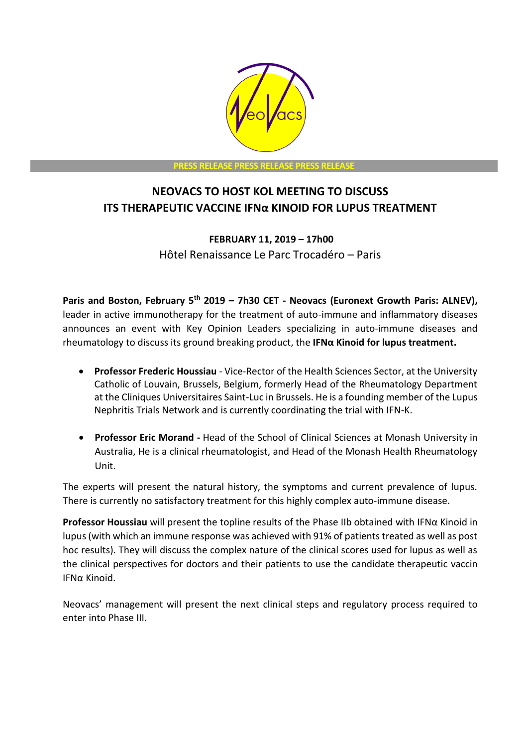

# **NEOVACS TO HOST KOL MEETING TO DISCUSS ITS THERAPEUTIC VACCINE IFNα KINOID FOR LUPUS TREATMENT**

## **FEBRUARY 11, 2019 – 17h00** Hôtel Renaissance Le Parc Trocadéro – Paris

**Paris and Boston, February 5 th 2019 – 7h30 CET - Neovacs (Euronext Growth Paris: ALNEV),**  leader in active immunotherapy for the treatment of auto-immune and inflammatory diseases announces an event with Key Opinion Leaders specializing in auto-immune diseases and rheumatology to discuss its ground breaking product, the **IFNα Kinoid for lupus treatment.** 

- **Professor Frederic Houssiau**  Vice-Rector of the Health Sciences Sector, at the University Catholic of Louvain, Brussels, Belgium, formerly Head of the Rheumatology Department at the Cliniques Universitaires Saint-Luc in Brussels. He is a founding member of the Lupus Nephritis Trials Network and is currently coordinating the trial with IFN-K.
- **Professor Eric Morand -** Head of the School of Clinical Sciences at Monash University in Australia, He is a clinical rheumatologist, and Head of the Monash Health Rheumatology Unit.

The experts will present the natural history, the symptoms and current prevalence of lupus. There is currently no satisfactory treatment for this highly complex auto-immune disease.

**Professor Houssiau** will present the topline results of the Phase IIb obtained with IFNα Kinoid in lupus (with which an immune response was achieved with 91% of patients treated as well as post hoc results). They will discuss the complex nature of the clinical scores used for lupus as well as the clinical perspectives for doctors and their patients to use the candidate therapeutic vaccin IFNα Kinoid.

Neovacs' management will present the next clinical steps and regulatory process required to enter into Phase III.